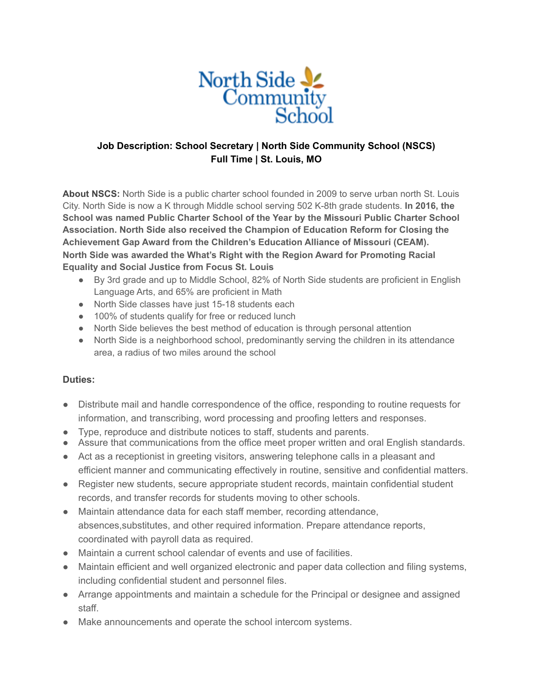

## **Job Description: School Secretary | North Side Community School (NSCS) Full Time | St. Louis, MO**

**About NSCS:** North Side is a public charter school founded in 2009 to serve urban north St. Louis City. North Side is now a K through Middle school serving 502 K-8th grade students. **In 2016, the School was named Public Charter School of the Year by the Missouri Public Charter School Association. North Side also received the Champion of Education Reform for Closing the Achievement Gap Award from the Children's Education Alliance of Missouri (CEAM). North Side was awarded the What's Right with the Region Award for Promoting Racial Equality and Social Justice from Focus St. Louis**

- By 3rd grade and up to Middle School, 82% of North Side students are proficient in English Language Arts, and 65% are proficient in Math
- North Side classes have just 15-18 students each
- 100% of students qualify for free or reduced lunch
- North Side believes the best method of education is through personal attention
- North Side is a neighborhood school, predominantly serving the children in its attendance area, a radius of two miles around the school

## **Duties:**

- Distribute mail and handle correspondence of the office, responding to routine requests for information, and transcribing, word processing and proofing letters and responses.
- Type, reproduce and distribute notices to staff, students and parents.
- Assure that communications from the office meet proper written and oral English standards.
- Act as a receptionist in greeting visitors, answering telephone calls in a pleasant and efficient manner and communicating effectively in routine, sensitive and confidential matters.
- Register new students, secure appropriate student records, maintain confidential student records, and transfer records for students moving to other schools.
- Maintain attendance data for each staff member, recording attendance, absences,substitutes, and other required information. Prepare attendance reports, coordinated with payroll data as required.
- Maintain a current school calendar of events and use of facilities
- Maintain efficient and well organized electronic and paper data collection and filing systems, including confidential student and personnel files.
- Arrange appointments and maintain a schedule for the Principal or designee and assigned staff.
- Make announcements and operate the school intercom systems.